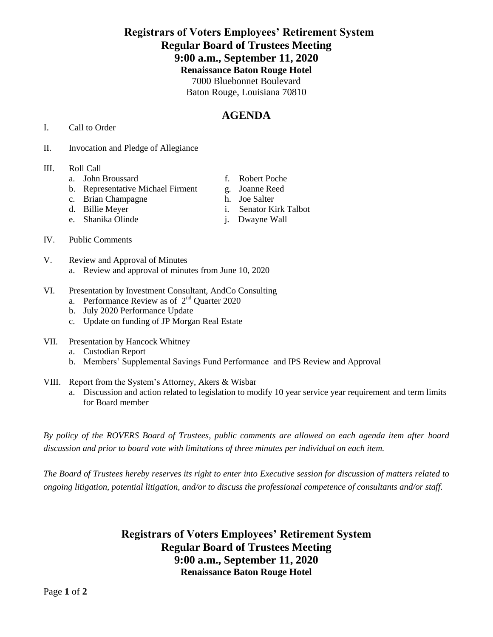## **Registrars of Voters Employees' Retirement System Regular Board of Trustees Meeting 9:00 a.m., September 11, 2020 Renaissance Baton Rouge Hotel** 7000 Bluebonnet Boulevard Baton Rouge, Louisiana 70810

# **AGENDA**

- I. Call to Order
- II. Invocation and Pledge of Allegiance

### III. Roll Call

- a. John Broussard f. Robert Poche
- b. Representative Michael Firment g. Joanne Reed
- c. Brian Champagne h. Joe Salter
- d. Billie Meyer i. Senator Kirk Talbot
- e. Shanika Olinde j. Dwayne Wall
- 
- 
- -
	-

- IV. Public Comments
- V. Review and Approval of Minutes
	- a. Review and approval of minutes from June 10, 2020
- VI. Presentation by Investment Consultant, AndCo Consulting
	- a. Performance Review as of  $2<sup>nd</sup>$  Quarter 2020
	- b. July 2020 Performance Update
	- c. Update on funding of JP Morgan Real Estate
- VII. Presentation by Hancock Whitney
	- a. Custodian Report
	- b. Members' Supplemental Savings Fund Performance and IPS Review and Approval
- VIII. Report from the System's Attorney, Akers & Wisbar
	- a. Discussion and action related to legislation to modify 10 year service year requirement and term limits for Board member

*By policy of the ROVERS Board of Trustees, public comments are allowed on each agenda item after board discussion and prior to board vote with limitations of three minutes per individual on each item.*

*The Board of Trustees hereby reserves its right to enter into Executive session for discussion of matters related to ongoing litigation, potential litigation, and/or to discuss the professional competence of consultants and/or staff.*

# **Registrars of Voters Employees' Retirement System Regular Board of Trustees Meeting 9:00 a.m., September 11, 2020 Renaissance Baton Rouge Hotel**